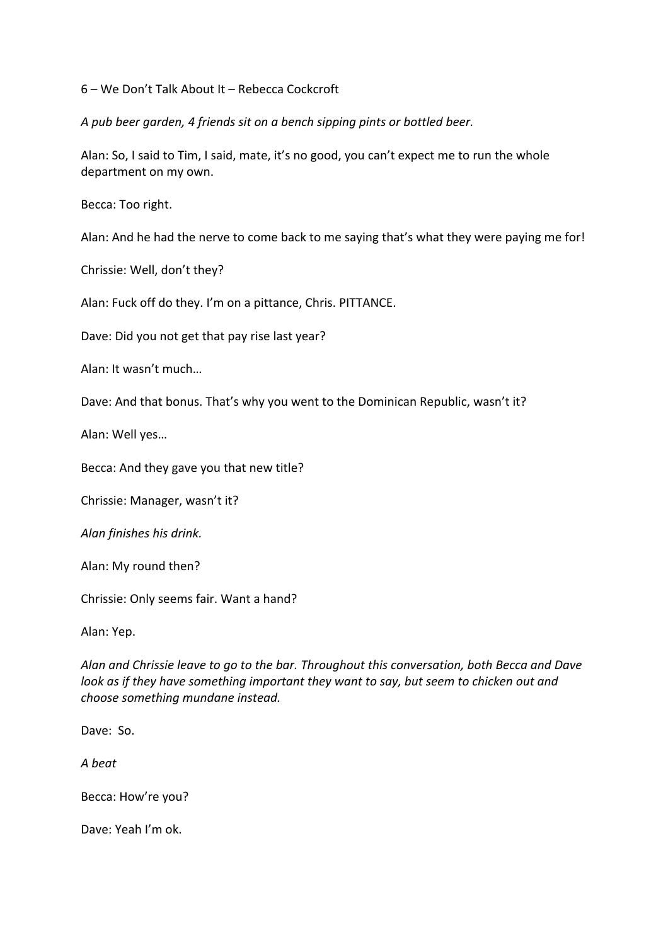6 – We Don't Talk About It – Rebecca Cockcroft

*A pub beer garden, 4 friends sit on a bench sipping pints or bottled beer.*

Alan: So, I said to Tim, I said, mate, it's no good, you can't expect me to run the whole department on my own.

Becca: Too right.

Alan: And he had the nerve to come back to me saying that's what they were paying me for!

Chrissie: Well, don't they?

Alan: Fuck off do they. I'm on a pittance, Chris. PITTANCE.

Dave: Did you not get that pay rise last year?

Alan: It wasn't much…

Dave: And that bonus. That's why you went to the Dominican Republic, wasn't it?

Alan: Well yes…

Becca: And they gave you that new title?

Chrissie: Manager, wasn't it?

*Alan finishes his drink.*

Alan: My round then?

Chrissie: Only seems fair. Want a hand?

Alan: Yep.

*Alan and Chrissie leave to go to the bar. Throughout this conversation, both Becca and Dave look as if they have something important they want to say, but seem to chicken out and choose something mundane instead.*

Dave: So.

*A beat*

Becca: How're you?

Dave: Yeah I'm ok.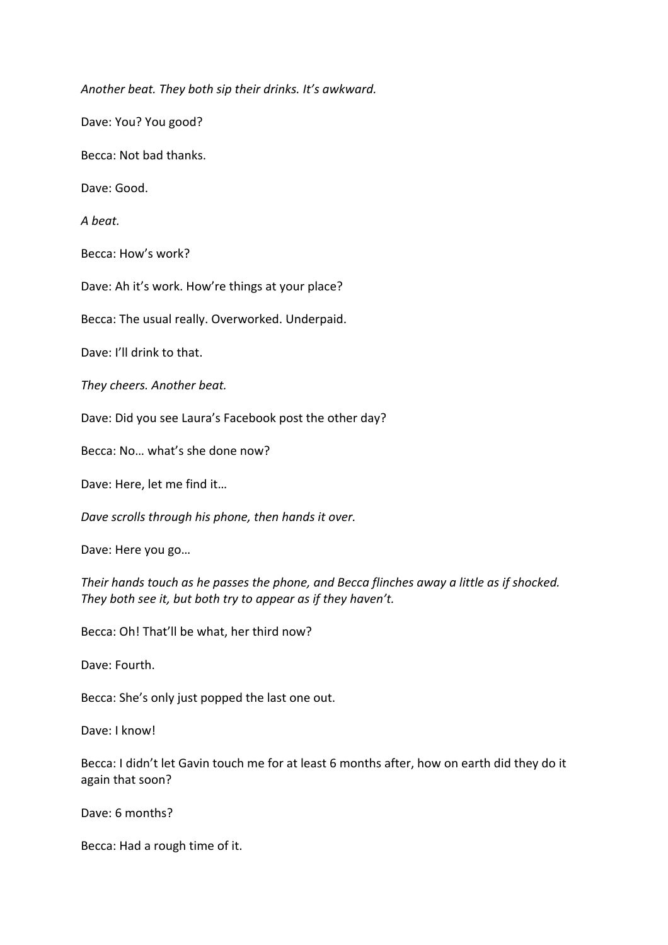*Another beat. They both sip their drinks. It's awkward.*

Dave: You? You good?

Becca: Not bad thanks.

Dave: Good.

*A beat.*

Becca: How's work?

Dave: Ah it's work. How're things at your place?

Becca: The usual really. Overworked. Underpaid.

Dave: I'll drink to that.

*They cheers. Another beat.*

Dave: Did you see Laura's Facebook post the other day?

Becca: No… what's she done now?

Dave: Here, let me find it…

*Dave scrolls through his phone, then hands it over.* 

Dave: Here you go…

*Their hands touch as he passes the phone, and Becca flinches away a little as if shocked. They both see it, but both try to appear as if they haven't.*

Becca: Oh! That'll be what, her third now?

Dave: Fourth.

Becca: She's only just popped the last one out.

Dave: I know!

Becca: I didn't let Gavin touch me for at least 6 months after, how on earth did they do it again that soon?

Dave: 6 months?

Becca: Had a rough time of it.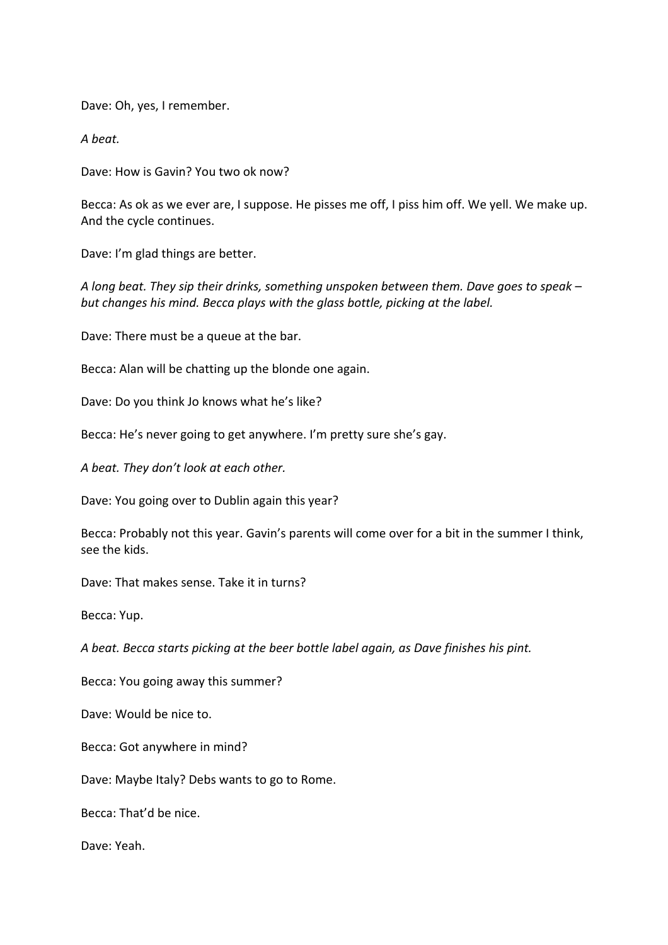Dave: Oh, yes, I remember.

*A beat.*

Dave: How is Gavin? You two ok now?

Becca: As ok as we ever are, I suppose. He pisses me off, I piss him off. We yell. We make up. And the cycle continues.

Dave: I'm glad things are better.

*A long beat. They sip their drinks, something unspoken between them. Dave goes to speak – but changes his mind. Becca plays with the glass bottle, picking at the label.*

Dave: There must be a queue at the bar.

Becca: Alan will be chatting up the blonde one again.

Dave: Do you think Jo knows what he's like?

Becca: He's never going to get anywhere. I'm pretty sure she's gay.

*A beat. They don't look at each other.* 

Dave: You going over to Dublin again this year?

Becca: Probably not this year. Gavin's parents will come over for a bit in the summer I think, see the kids.

Dave: That makes sense. Take it in turns?

Becca: Yup.

*A beat. Becca starts picking at the beer bottle label again, as Dave finishes his pint.* 

Becca: You going away this summer?

Dave: Would be nice to.

Becca: Got anywhere in mind?

Dave: Maybe Italy? Debs wants to go to Rome.

Becca: That'd be nice.

Dave: Yeah.